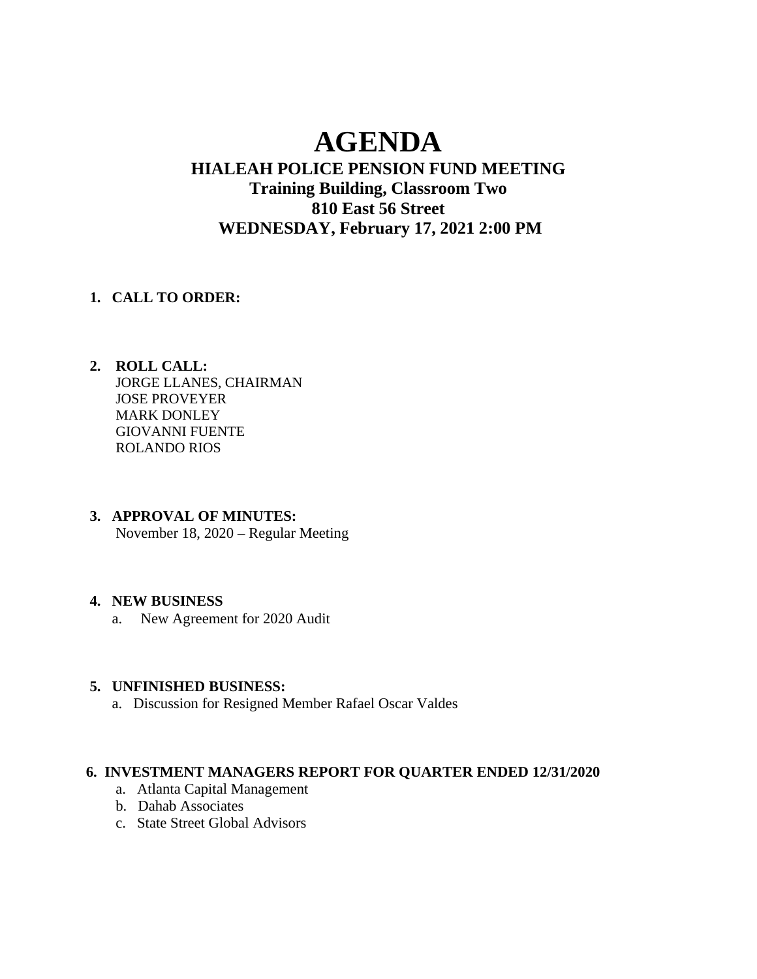# **AGENDA**

## **HIALEAH POLICE PENSION FUND MEETING Training Building, Classroom Two 810 East 56 Street WEDNESDAY, February 17, 2021 2:00 PM**

#### **1. CALL TO ORDER:**

- **2. ROLL CALL:** JORGE LLANES, CHAIRMAN JOSE PROVEYER MARK DONLEY GIOVANNI FUENTE ROLANDO RIOS
- **3. APPROVAL OF MINUTES:** November 18, 2020 **–** Regular Meeting

#### **4. NEW BUSINESS**

a. New Agreement for 2020 Audit

#### **5. UNFINISHED BUSINESS:**

a. Discussion for Resigned Member Rafael Oscar Valdes

#### **6. INVESTMENT MANAGERS REPORT FOR QUARTER ENDED 12/31/2020**

- a. Atlanta Capital Management
- b. Dahab Associates
- c. State Street Global Advisors